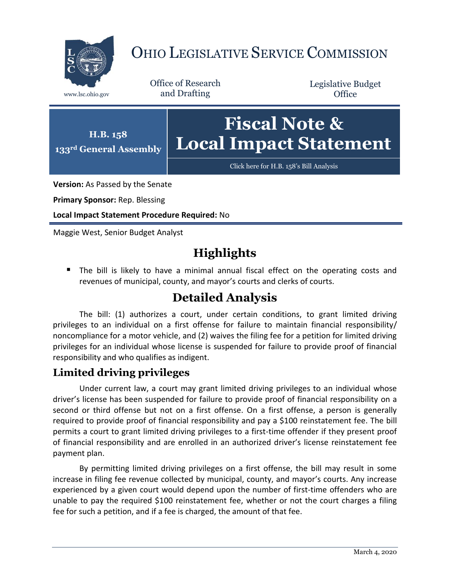

# OHIO LEGISLATIVE SERVICE COMMISSION

Office of Research www.lsc.ohio.gov and Drafting

Legislative Budget **Office** 



[Click here for H.B. 158](https://www.legislature.ohio.gov/legislation/legislation-documents?id=GA133-HB-158)'s Bill Analysis

**Version:** As Passed by the Senate

**Primary Sponsor:** Rep. Blessing

**Local Impact Statement Procedure Required:** No

Maggie West, Senior Budget Analyst

# **Highlights**

**The bill is likely to have a minimal annual fiscal effect on the operating costs and** revenues of municipal, county, and mayor's courts and clerks of courts.

## **Detailed Analysis**

The bill: (1) authorizes a court, under certain conditions, to grant limited driving privileges to an individual on a first offense for failure to maintain financial responsibility/ noncompliance for a motor vehicle, and (2) waives the filing fee for a petition for limited driving privileges for an individual whose license is suspended for failure to provide proof of financial responsibility and who qualifies as indigent.

### **Limited driving privileges**

Under current law, a court may grant limited driving privileges to an individual whose driver's license has been suspended for failure to provide proof of financial responsibility on a second or third offense but not on a first offense. On a first offense, a person is generally required to provide proof of financial responsibility and pay a \$100 reinstatement fee. The bill permits a court to grant limited driving privileges to a first-time offender if they present proof of financial responsibility and are enrolled in an authorized driver's license reinstatement fee payment plan.

By permitting limited driving privileges on a first offense, the bill may result in some increase in filing fee revenue collected by municipal, county, and mayor's courts. Any increase experienced by a given court would depend upon the number of first-time offenders who are unable to pay the required \$100 reinstatement fee, whether or not the court charges a filing fee for such a petition, and if a fee is charged, the amount of that fee.